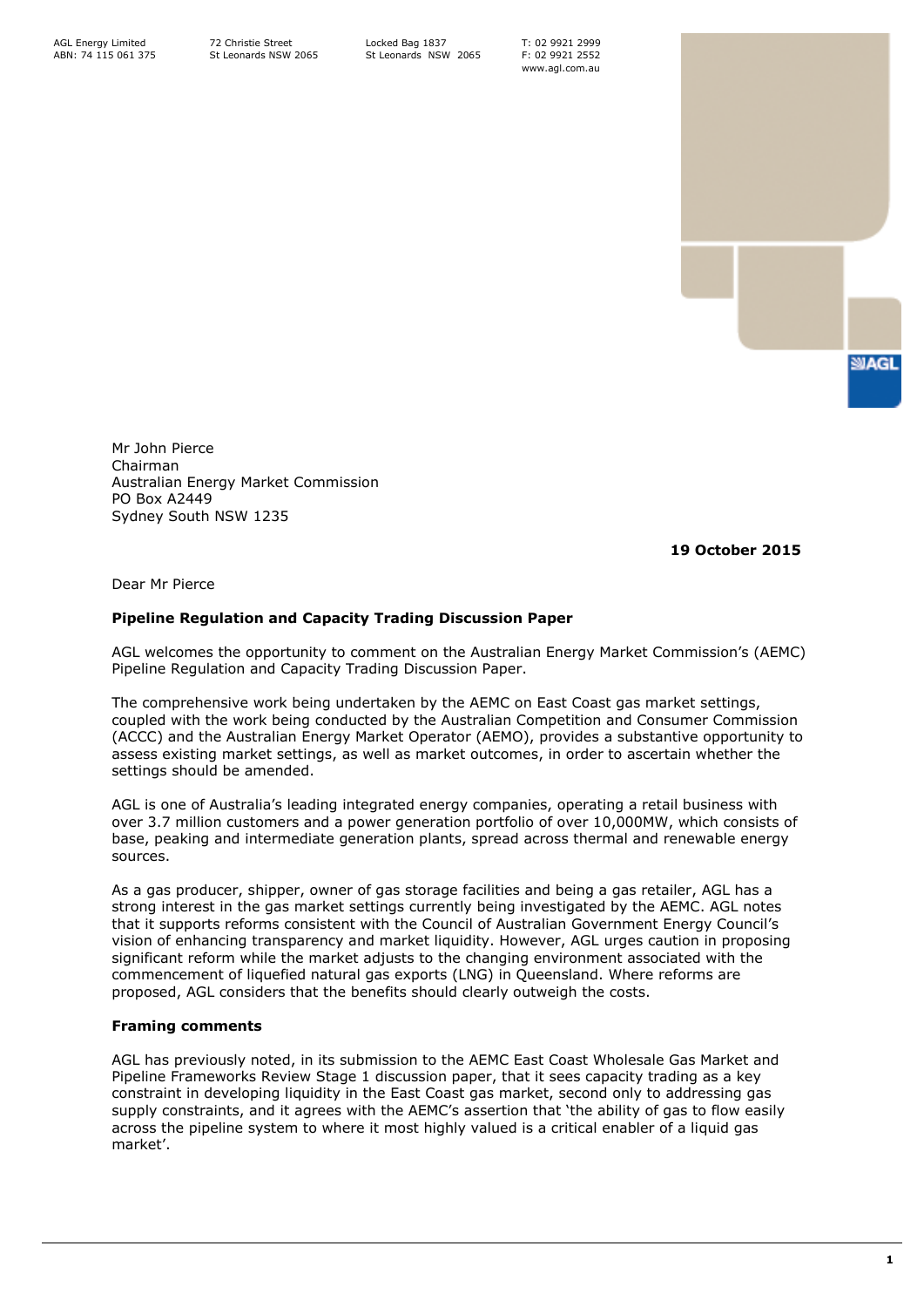Locked Bag 1837 St Leonards NSW 2065 T: 02 9921 2999 F: 02 9921 2552 www.agl.com.au



Mr John Pierce Chairman Australian Energy Market Commission PO Box A2449 Sydney South NSW 1235

**19 October 2015**

Dear Mr Pierce

# **Pipeline Regulation and Capacity Trading Discussion Paper**

AGL welcomes the opportunity to comment on the Australian Energy Market Commission's (AEMC) Pipeline Regulation and Capacity Trading Discussion Paper.

The comprehensive work being undertaken by the AEMC on East Coast gas market settings, coupled with the work being conducted by the Australian Competition and Consumer Commission (ACCC) and the Australian Energy Market Operator (AEMO), provides a substantive opportunity to assess existing market settings, as well as market outcomes, in order to ascertain whether the settings should be amended.

AGL is one of Australia's leading integrated energy companies, operating a retail business with over 3.7 million customers and a power generation portfolio of over 10,000MW, which consists of base, peaking and intermediate generation plants, spread across thermal and renewable energy sources.

As a gas producer, shipper, owner of gas storage facilities and being a gas retailer, AGL has a strong interest in the gas market settings currently being investigated by the AEMC. AGL notes that it supports reforms consistent with the Council of Australian Government Energy Council's vision of enhancing transparency and market liquidity. However, AGL urges caution in proposing significant reform while the market adjusts to the changing environment associated with the commencement of liquefied natural gas exports (LNG) in Queensland. Where reforms are proposed, AGL considers that the benefits should clearly outweigh the costs.

## **Framing comments**

AGL has previously noted, in its submission to the AEMC East Coast Wholesale Gas Market and Pipeline Frameworks Review Stage 1 discussion paper, that it sees capacity trading as a key constraint in developing liquidity in the East Coast gas market, second only to addressing gas supply constraints, and it agrees with the AEMC's assertion that 'the ability of gas to flow easily across the pipeline system to where it most highly valued is a critical enabler of a liquid gas market'.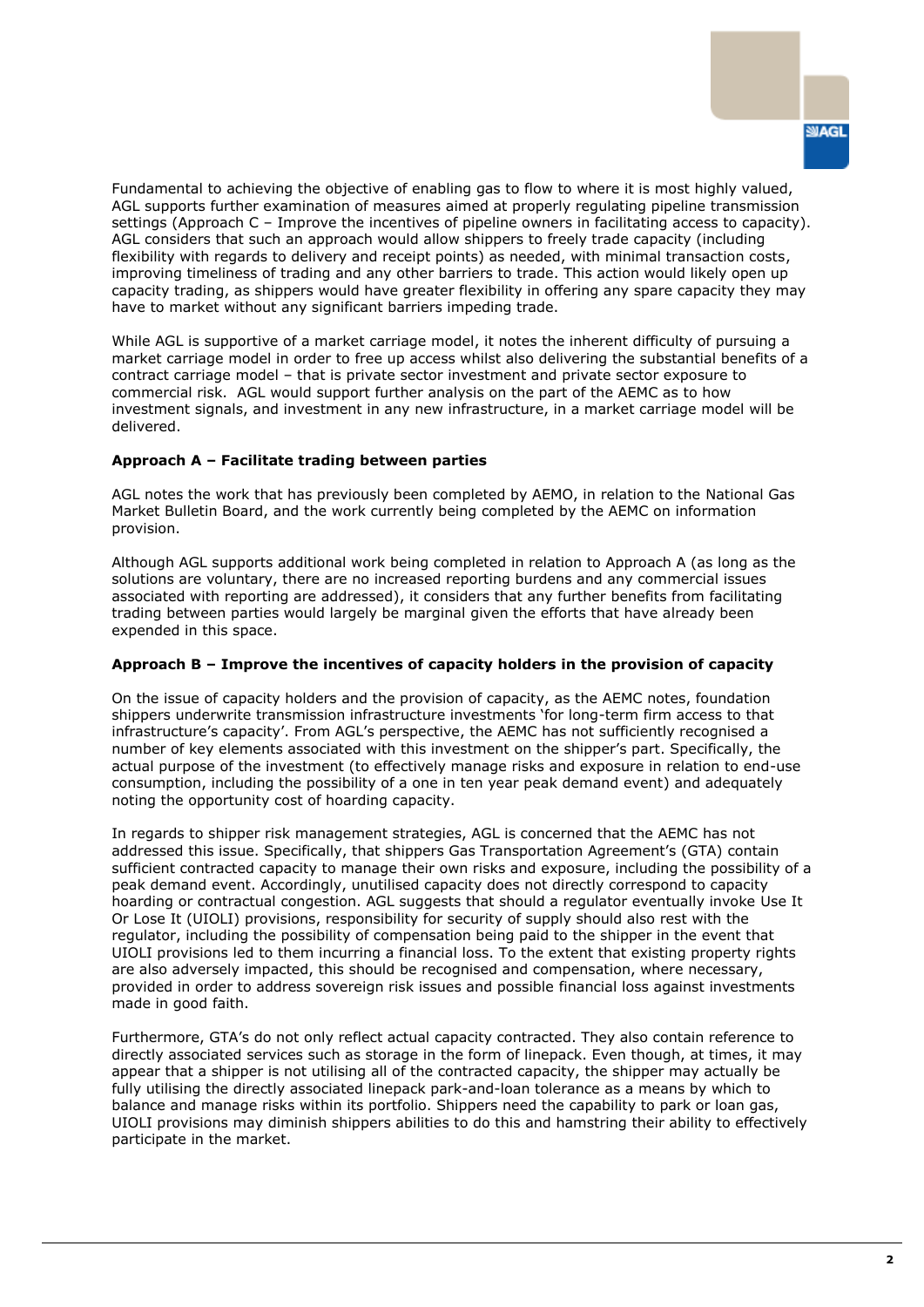Fundamental to achieving the objective of enabling gas to flow to where it is most highly valued, AGL supports further examination of measures aimed at properly regulating pipeline transmission settings (Approach C – Improve the incentives of pipeline owners in facilitating access to capacity). AGL considers that such an approach would allow shippers to freely trade capacity (including flexibility with regards to delivery and receipt points) as needed, with minimal transaction costs, improving timeliness of trading and any other barriers to trade. This action would likely open up capacity trading, as shippers would have greater flexibility in offering any spare capacity they may have to market without any significant barriers impeding trade.

While AGL is supportive of a market carriage model, it notes the inherent difficulty of pursuing a market carriage model in order to free up access whilst also delivering the substantial benefits of a contract carriage model – that is private sector investment and private sector exposure to commercial risk. AGL would support further analysis on the part of the AEMC as to how investment signals, and investment in any new infrastructure, in a market carriage model will be delivered.

## **Approach A – Facilitate trading between parties**

AGL notes the work that has previously been completed by AEMO, in relation to the National Gas Market Bulletin Board, and the work currently being completed by the AEMC on information provision.

Although AGL supports additional work being completed in relation to Approach A (as long as the solutions are voluntary, there are no increased reporting burdens and any commercial issues associated with reporting are addressed), it considers that any further benefits from facilitating trading between parties would largely be marginal given the efforts that have already been expended in this space.

## **Approach B – Improve the incentives of capacity holders in the provision of capacity**

On the issue of capacity holders and the provision of capacity, as the AEMC notes, foundation shippers underwrite transmission infrastructure investments 'for long-term firm access to that infrastructure's capacity'. From AGL's perspective, the AEMC has not sufficiently recognised a number of key elements associated with this investment on the shipper's part. Specifically, the actual purpose of the investment (to effectively manage risks and exposure in relation to end-use consumption, including the possibility of a one in ten year peak demand event) and adequately noting the opportunity cost of hoarding capacity.

In regards to shipper risk management strategies, AGL is concerned that the AEMC has not addressed this issue. Specifically, that shippers Gas Transportation Agreement's (GTA) contain sufficient contracted capacity to manage their own risks and exposure, including the possibility of a peak demand event. Accordingly, unutilised capacity does not directly correspond to capacity hoarding or contractual congestion. AGL suggests that should a regulator eventually invoke Use It Or Lose It (UIOLI) provisions, responsibility for security of supply should also rest with the regulator, including the possibility of compensation being paid to the shipper in the event that UIOLI provisions led to them incurring a financial loss. To the extent that existing property rights are also adversely impacted, this should be recognised and compensation, where necessary, provided in order to address sovereign risk issues and possible financial loss against investments made in good faith.

Furthermore, GTA's do not only reflect actual capacity contracted. They also contain reference to directly associated services such as storage in the form of linepack. Even though, at times, it may appear that a shipper is not utilising all of the contracted capacity, the shipper may actually be fully utilising the directly associated linepack park-and-loan tolerance as a means by which to balance and manage risks within its portfolio. Shippers need the capability to park or loan gas, UIOLI provisions may diminish shippers abilities to do this and hamstring their ability to effectively participate in the market.